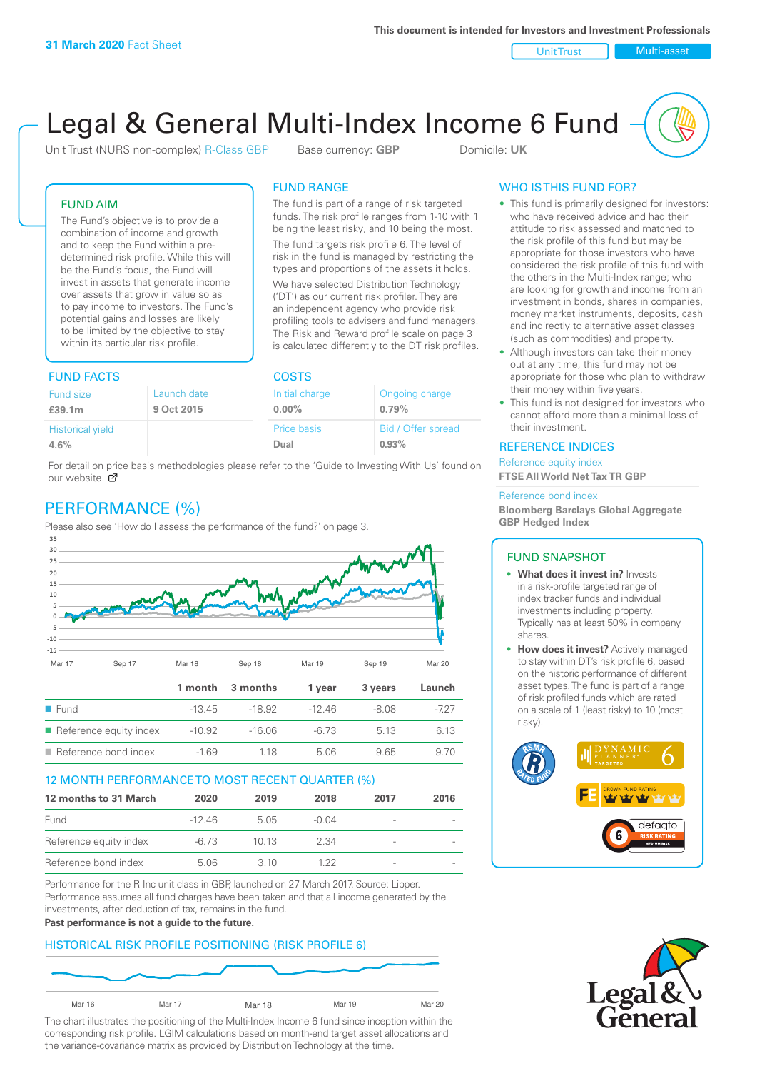Unit Trust Nulti-asset

# Legal & General Multi-Index Income 6 Fund

Unit Trust (NURS non-complex) R-Class GBP Base currency: **GBP** Domicile: UK

The fund is part of a range of risk targeted funds. The risk profile ranges from 1-10 with 1 being the least risky, and 10 being the most. The fund targets risk profile 6. The level of risk in the fund is managed by restricting the types and proportions of the assets it holds. We have selected Distribution Technology ('DT') as our current risk profiler. They are an independent agency who provide risk profiling tools to advisers and fund managers. The Risk and Reward profile scale on page 3 is calculated differently to the DT risk profiles.

FUND RANGE

### FUND AIM

The Fund's objective is to provide a combination of income and growth and to keep the Fund within a predetermined risk profile. While this will be the Fund's focus, the Fund will invest in assets that generate income over assets that grow in value so as to pay income to investors. The Fund's potential gains and losses are likely to be limited by the objective to stay within its particular risk profile.

## FUND FACTS COSTS

| .                       |             |                    |                    |  |
|-------------------------|-------------|--------------------|--------------------|--|
| <b>Fund size</b>        | Launch date | Initial charge     | Ongoing charge     |  |
| £39.1m                  | 9 Oct 2015  | $0.00\%$           | 0.79%              |  |
| <b>Historical yield</b> |             | <b>Price basis</b> | Bid / Offer spread |  |
| 4.6%                    |             | Dual               | 0.93%              |  |

For detail on price basis methodologies please refer to the 'Guide to Investing With Us' found on our website. Ø

# PERFORMANCE (%)

Please also see 'How do I assess the performance of the fund?' on page 3.



#### 12 MONTH PERFORMANCE TO MOST RECENT QUARTER (%)

| 12 months to 31 March  | 2020     | 2019  | 2018  | 2017 | 2016 |
|------------------------|----------|-------|-------|------|------|
| Fund                   | $-1246$  | 505   | -0.04 |      |      |
| Reference equity index | $-6\,73$ | 10 13 | 2.34  |      |      |
| Reference bond index   | 5.06     | 3. 10 | 1 22  |      |      |

Performance for the R Inc unit class in GBP, launched on 27 March 2017. Source: Lipper. Performance assumes all fund charges have been taken and that all income generated by the investments, after deduction of tax, remains in the fund.

#### **Past performance is not a guide to the future.**

## HISTORICAL RISK PROFILE POSITIONING (RISK PROFILE 6)



The chart illustrates the positioning of the Multi-Index Income 6 fund since inception within the corresponding risk profile. LGIM calculations based on month-end target asset allocations and the variance-covariance matrix as provided by Distribution Technology at the time.

## WHO IS THIS FUND FOR?

- This fund is primarily designed for investors: who have received advice and had their attitude to risk assessed and matched to the risk profile of this fund but may be appropriate for those investors who have considered the risk profile of this fund with the others in the Multi-Index range; who are looking for growth and income from an investment in bonds, shares in companies, money market instruments, deposits, cash and indirectly to alternative asset classes (such as commodities) and property.
- Although investors can take their money out at any time, this fund may not be appropriate for those who plan to withdraw their money within five years.
- This fund is not designed for investors who cannot afford more than a minimal loss of their investment.

#### REFERENCE INDICES

Reference equity index **FTSE All World Net Tax TR GBP**

#### Reference bond index

**Bloomberg Barclays Global Aggregate GBP Hedged Index**

#### FUND SNAPSHOT

- **• What does it invest in?** Invests in a risk-profile targeted range of index tracker funds and individual investments including property. Typically has at least 50% in company shares.
- **• How does it invest?** Actively managed to stay within DT's risk profile 6, based on the historic performance of different asset types. The fund is part of a range of risk profiled funds which are rated on a scale of 1 (least risky) to 10 (most risky).



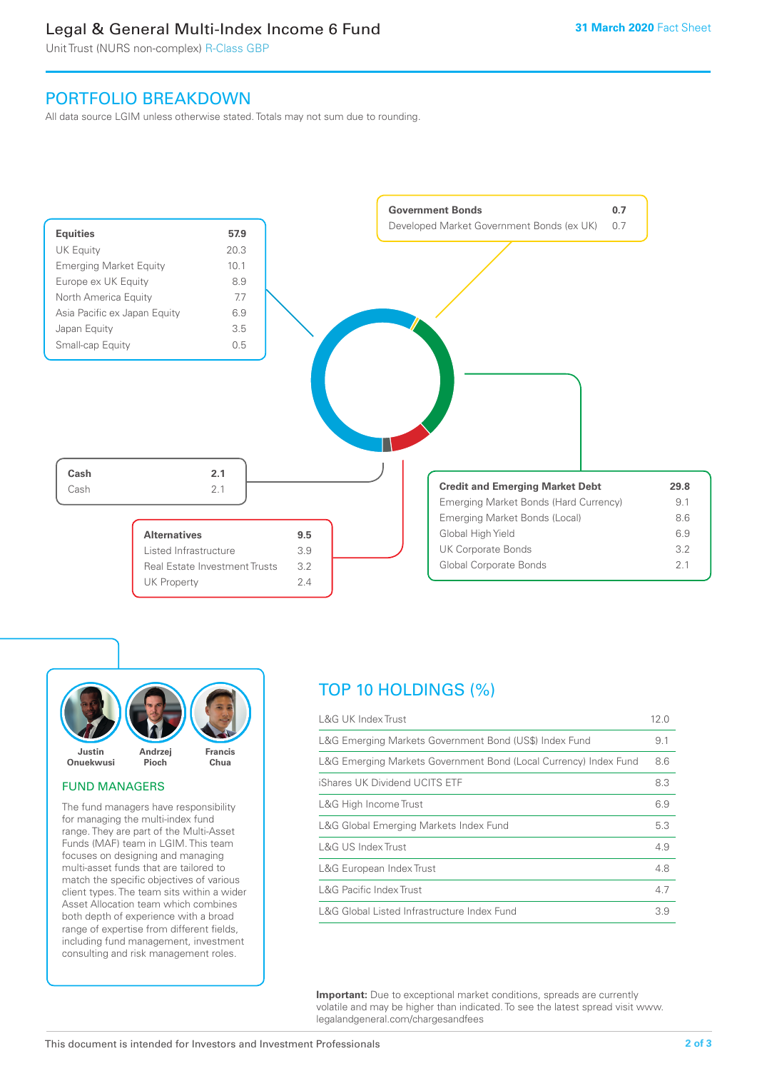# Legal & General Multi-Index Income 6 Fund

Unit Trust (NURS non-complex) R-Class GBP

# PORTFOLIO BREAKDOWN

All data source LGIM unless otherwise stated. Totals may not sum due to rounding.





#### FUND MANAGERS

The fund managers have responsibility for managing the multi-index fund range. They are part of the Multi-Asset Funds (MAF) team in LGIM. This team focuses on designing and managing multi-asset funds that are tailored to match the specific objectives of various client types. The team sits within a wider Asset Allocation team which combines both depth of experience with a broad range of expertise from different fields, including fund management, investment consulting and risk management roles.

# TOP 10 HOLDINGS (%)

| <b>L&amp;G UK Index Trust</b>                                    | 12.0 |
|------------------------------------------------------------------|------|
| L&G Emerging Markets Government Bond (US\$) Index Fund           | 9.1  |
| L&G Emerging Markets Government Bond (Local Currency) Index Fund | 8.6  |
| iShares UK Dividend UCITS ETF                                    | 8.3  |
| L&G High Income Trust                                            | 6.9  |
| L&G Global Emerging Markets Index Fund                           | 5.3  |
| L&G US Index Trust                                               | 4.9  |
| L&G European Index Trust                                         | 4.8  |
| L&G Pacific Index Trust                                          | 4.7  |
| L&G Global Listed Infrastructure Index Fund                      | 3.9  |

**Important:** Due to exceptional market conditions, spreads are currently volatile and may be higher than indicated. To see the latest spread visit www. legalandgeneral.com/chargesandfees